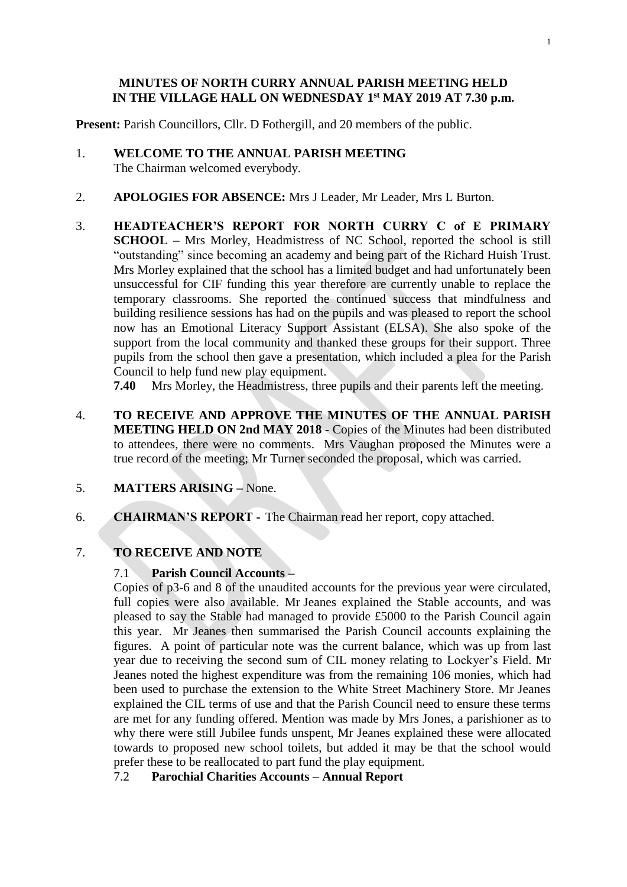## **MINUTES OF NORTH CURRY ANNUAL PARISH MEETING HELD IN THE VILLAGE HALL ON WEDNESDAY 1 st MAY 2019 AT 7.30 p.m.**

**Present:** Parish Councillors, Cllr. D Fothergill, and 20 members of the public.

- 1. **WELCOME TO THE ANNUAL PARISH MEETING** The Chairman welcomed everybody.
- 2. **APOLOGIES FOR ABSENCE:** Mrs J Leader, Mr Leader, Mrs L Burton.
- 3. **HEADTEACHER'S REPORT FOR NORTH CURRY C of E PRIMARY SCHOOL** – Mrs Morley, Headmistress of NC School, reported the school is still "outstanding" since becoming an academy and being part of the Richard Huish Trust. Mrs Morley explained that the school has a limited budget and had unfortunately been unsuccessful for CIF funding this year therefore are currently unable to replace the temporary classrooms. She reported the continued success that mindfulness and building resilience sessions has had on the pupils and was pleased to report the school now has an Emotional Literacy Support Assistant (ELSA). She also spoke of the support from the local community and thanked these groups for their support. Three pupils from the school then gave a presentation, which included a plea for the Parish Council to help fund new play equipment.

**7.40** Mrs Morley, the Headmistress, three pupils and their parents left the meeting.

- 4. **TO RECEIVE AND APPROVE THE MINUTES OF THE ANNUAL PARISH MEETING HELD ON 2nd MAY 2018 -** Copies of the Minutes had been distributed to attendees, there were no comments. Mrs Vaughan proposed the Minutes were a true record of the meeting; Mr Turner seconded the proposal, which was carried.
- 5. **MATTERS ARISING –** None.
- 6. **CHAIRMAN'S REPORT -** The Chairman read her report, copy attached.

## 7. **TO RECEIVE AND NOTE**

### 7.1 **Parish Council Accounts –**

Copies of p3-6 and 8 of the unaudited accounts for the previous year were circulated, full copies were also available. Mr Jeanes explained the Stable accounts, and was pleased to say the Stable had managed to provide £5000 to the Parish Council again this year. Mr Jeanes then summarised the Parish Council accounts explaining the figures. A point of particular note was the current balance, which was up from last year due to receiving the second sum of CIL money relating to Lockyer's Field. Mr Jeanes noted the highest expenditure was from the remaining 106 monies, which had been used to purchase the extension to the White Street Machinery Store. Mr Jeanes explained the CIL terms of use and that the Parish Council need to ensure these terms are met for any funding offered. Mention was made by Mrs Jones, a parishioner as to why there were still Jubilee funds unspent, Mr Jeanes explained these were allocated towards to proposed new school toilets, but added it may be that the school would prefer these to be reallocated to part fund the play equipment.

7.2 **Parochial Charities Accounts – Annual Report**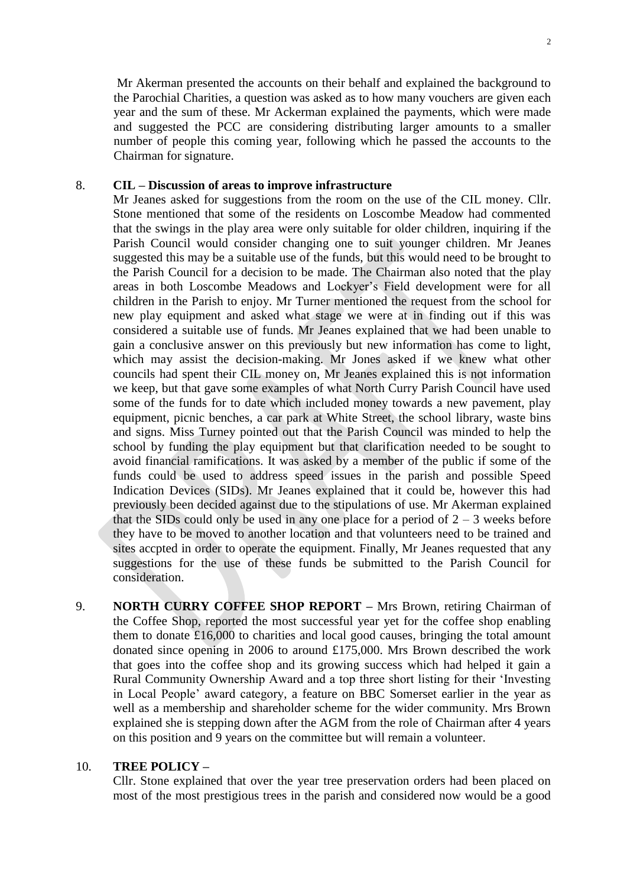Mr Akerman presented the accounts on their behalf and explained the background to the Parochial Charities, a question was asked as to how many vouchers are given each year and the sum of these. Mr Ackerman explained the payments, which were made and suggested the PCC are considering distributing larger amounts to a smaller number of people this coming year, following which he passed the accounts to the Chairman for signature.

### 8. **CIL – Discussion of areas to improve infrastructure**

Mr Jeanes asked for suggestions from the room on the use of the CIL money. Cllr. Stone mentioned that some of the residents on Loscombe Meadow had commented that the swings in the play area were only suitable for older children, inquiring if the Parish Council would consider changing one to suit younger children. Mr Jeanes suggested this may be a suitable use of the funds, but this would need to be brought to the Parish Council for a decision to be made. The Chairman also noted that the play areas in both Loscombe Meadows and Lockyer's Field development were for all children in the Parish to enjoy. Mr Turner mentioned the request from the school for new play equipment and asked what stage we were at in finding out if this was considered a suitable use of funds. Mr Jeanes explained that we had been unable to gain a conclusive answer on this previously but new information has come to light, which may assist the decision-making. Mr Jones asked if we knew what other councils had spent their CIL money on, Mr Jeanes explained this is not information we keep, but that gave some examples of what North Curry Parish Council have used some of the funds for to date which included money towards a new pavement, play equipment, picnic benches, a car park at White Street, the school library, waste bins and signs. Miss Turney pointed out that the Parish Council was minded to help the school by funding the play equipment but that clarification needed to be sought to avoid financial ramifications. It was asked by a member of the public if some of the funds could be used to address speed issues in the parish and possible Speed Indication Devices (SIDs). Mr Jeanes explained that it could be, however this had previously been decided against due to the stipulations of use. Mr Akerman explained that the SIDs could only be used in any one place for a period of  $2 - 3$  weeks before they have to be moved to another location and that volunteers need to be trained and sites accpted in order to operate the equipment. Finally, Mr Jeanes requested that any suggestions for the use of these funds be submitted to the Parish Council for consideration.

9. **NORTH CURRY COFFEE SHOP REPORT –** Mrs Brown, retiring Chairman of the Coffee Shop, reported the most successful year yet for the coffee shop enabling them to donate £16,000 to charities and local good causes, bringing the total amount donated since opening in 2006 to around £175,000. Mrs Brown described the work that goes into the coffee shop and its growing success which had helped it gain a Rural Community Ownership Award and a top three short listing for their 'Investing in Local People' award category, a feature on BBC Somerset earlier in the year as well as a membership and shareholder scheme for the wider community. Mrs Brown explained she is stepping down after the AGM from the role of Chairman after 4 years on this position and 9 years on the committee but will remain a volunteer.

### 10. **TREE POLICY –**

Cllr. Stone explained that over the year tree preservation orders had been placed on most of the most prestigious trees in the parish and considered now would be a good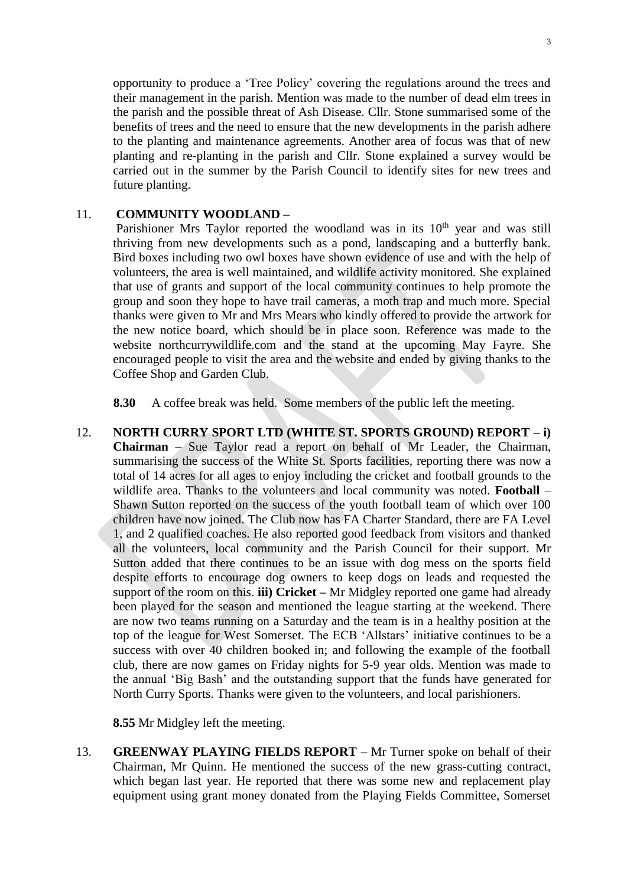opportunity to produce a 'Tree Policy' covering the regulations around the trees and their management in the parish. Mention was made to the number of dead elm trees in the parish and the possible threat of Ash Disease. Cllr. Stone summarised some of the benefits of trees and the need to ensure that the new developments in the parish adhere to the planting and maintenance agreements. Another area of focus was that of new planting and re-planting in the parish and Cllr. Stone explained a survey would be carried out in the summer by the Parish Council to identify sites for new trees and future planting.

# 11. **COMMUNITY WOODLAND –**

Parishioner Mrs Taylor reported the woodland was in its  $10<sup>th</sup>$  year and was still thriving from new developments such as a pond, landscaping and a butterfly bank. Bird boxes including two owl boxes have shown evidence of use and with the help of volunteers, the area is well maintained, and wildlife activity monitored. She explained that use of grants and support of the local community continues to help promote the group and soon they hope to have trail cameras, a moth trap and much more. Special thanks were given to Mr and Mrs Mears who kindly offered to provide the artwork for the new notice board, which should be in place soon. Reference was made to the website northcurrywildlife.com and the stand at the upcoming May Fayre. She encouraged people to visit the area and the website and ended by giving thanks to the Coffee Shop and Garden Club.

**8.30** A coffee break was held. Some members of the public left the meeting.

12. **NORTH CURRY SPORT LTD (WHITE ST. SPORTS GROUND) REPORT – i) Chairman –** Sue Taylor read a report on behalf of Mr Leader, the Chairman, summarising the success of the White St. Sports facilities, reporting there was now a total of 14 acres for all ages to enjoy including the cricket and football grounds to the wildlife area. Thanks to the volunteers and local community was noted. **Football** – Shawn Sutton reported on the success of the youth football team of which over 100 children have now joined. The Club now has FA Charter Standard, there are FA Level 1, and 2 qualified coaches. He also reported good feedback from visitors and thanked all the volunteers, local community and the Parish Council for their support. Mr Sutton added that there continues to be an issue with dog mess on the sports field despite efforts to encourage dog owners to keep dogs on leads and requested the support of the room on this. **iii) Cricket –** Mr Midgley reported one game had already been played for the season and mentioned the league starting at the weekend. There are now two teams running on a Saturday and the team is in a healthy position at the top of the league for West Somerset. The ECB 'Allstars' initiative continues to be a success with over 40 children booked in; and following the example of the football club, there are now games on Friday nights for 5-9 year olds. Mention was made to the annual 'Big Bash' and the outstanding support that the funds have generated for North Curry Sports. Thanks were given to the volunteers, and local parishioners.

**8.55** Mr Midgley left the meeting.

13. **GREENWAY PLAYING FIELDS REPORT** – Mr Turner spoke on behalf of their Chairman, Mr Quinn. He mentioned the success of the new grass-cutting contract, which began last year. He reported that there was some new and replacement play equipment using grant money donated from the Playing Fields Committee, Somerset